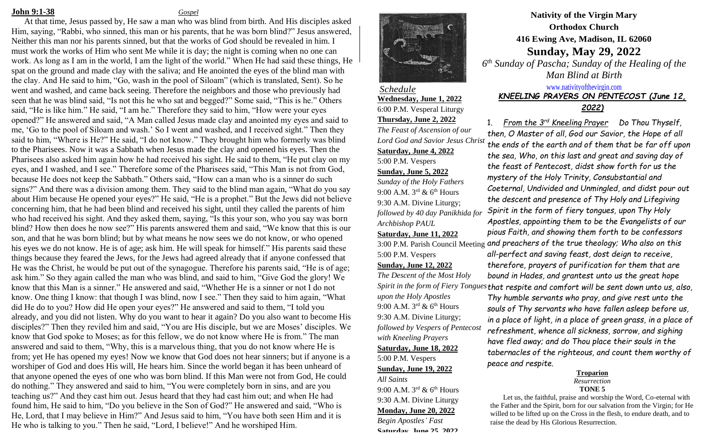#### **John 9:1-38** *Gospel*

At that time, Jesus passed by, He saw a man who was blind from birth. And His disciples asked Him, saying, "Rabbi, who sinned, this man or his parents, that he was born blind?" Jesus answered, Neither this man nor his parents sinned, but that the works of God should be revealed in him. I must work the works of Him who sent Me while it is day; the night is coming when no one can work. As long as I am in the world, I am the light of the world." When He had said these things, He spat on the ground and made clay with the saliva; and He anointed the eyes of the blind man with the clay. And He said to him, "Go, wash in the pool of Siloam" (which is translated, Sent). So he went and washed, and came back seeing. Therefore the neighbors and those who previously had seen that he was blind said, "Is not this he who sat and begged?" Some said, "This is he." Others said, "He is like him." He said, "I am he." Therefore they said to him, "How were your eyes opened?" He answered and said, "A Man called Jesus made clay and anointed my eyes and said to me, 'Go to the pool of Siloam and wash.' So I went and washed, and I received sight." Then they said to him, "Where is He?" He said, "I do not know." They brought him who formerly was blind to the Pharisees. Now it was a Sabbath when Jesus made the clay and opened his eyes. Then the Pharisees also asked him again how he had received his sight. He said to them, "He put clay on my eyes, and I washed, and I see." Therefore some of the Pharisees said, "This Man is not from God, because He does not keep the Sabbath." Others said, "How can a man who is a sinner do such signs?" And there was a division among them. They said to the blind man again, "What do you say about Him because He opened your eyes?" He said, "He is a prophet." But the Jews did not believe concerning him, that he had been blind and received his sight, until they called the parents of him who had received his sight. And they asked them, saying, "Is this your son, who you say was born blind? How then does he now see?" His parents answered them and said, "We know that this is our son, and that he was born blind; but by what means he now sees we do not know, or who opened his eyes we do not know. He is of age; ask him. He will speak for himself." His parents said these things because they feared the Jews, for the Jews had agreed already that if anyone confessed that He was the Christ, he would be put out of the synagogue. Therefore his parents said, "He is of age; ask him." So they again called the man who was blind, and said to him, "Give God the glory! We know that this Man is a sinner." He answered and said, "Whether He is a sinner or not I do not know. One thing I know: that though I was blind, now I see." Then they said to him again, "What did He do to you? How did He open your eyes?" He answered and said to them, "I told you already, and you did not listen. Why do you want to hear it again? Do you also want to become His disciples?" Then they reviled him and said, "You are His disciple, but we are Moses' disciples. We know that God spoke to Moses; as for this fellow, we do not know where He is from." The man answered and said to them, "Why, this is a marvelous thing, that you do not know where He is from; yet He has opened my eyes! Now we know that God does not hear sinners; but if anyone is a worshiper of God and does His will, He hears him. Since the world began it has been unheard of that anyone opened the eyes of one who was born blind. If this Man were not from God, He could do nothing." They answered and said to him, "You were completely born in sins, and are you teaching us?" And they cast him out. Jesus heard that they had cast him out; and when He had found him, He said to him, "Do you believe in the Son of God?" He answered and said, "Who is He, Lord, that I may believe in Him?" And Jesus said to him, "You have both seen Him and it is He who is talking to you." Then he said, "Lord, I believe!" And he worshiped Him.



*Schedule* **Wednesday, June 1, 2022** 6:00 P.M. Vesperal Liturgy **Thursday, June 2, 2022** *The Feast of Ascension of our Lord God and Savior Jesus Christ* **Saturday, June 4, 2022** 5:00 P.M. Vespers **Sunday, June 5, 2022** *Sunday of the Holy Fathers* 9:00 A.M.  $3^{\text{rd}}$  & 6<sup>th</sup> Hours

9:30 A.M. Divine Liturgy; *followed by 40 day Panikhida for Archbishop PAUL*

**Saturday, June 11, 2022**

5:00 P.M. Vespers

**Sunday, June 12, 2022**

*The Descent of the Most Holy Spirit in the form of Fiery Tongues that respite and comfort will be sent down unto us, also, upon the Holy Apostles* 9:00 A.M.  $3^{\text{rd}}$  & 6<sup>th</sup> Hours 9:30 A.M. Divine Liturgy; *followed by Vespers of Pentecost with Kneeling Prayers* **Saturday, June 18, 2022** 5:00 P.M. Vespers **Sunday, June 19, 2022** *All Saints* 9:00 A.M.  $3^{\text{rd}}$  & 6<sup>th</sup> Hours 9:30 A.M. Divine Liturgy **Monday, June 20, 2022**

*Begin Apostles' Fast* Saturday, June 25, 2022

**Nativity of the Virgin Mary Orthodox Church 416 Ewing Ave, Madison, IL 62060 Sunday, May 29, 2022**

*6 th Sunday of Pascha; Sunday of the Healing of the Man Blind at Birth*

## [www.nativityofthevirgin.com](http://www.nativityofthevirgin.com/) *KNEELING PRAYERS ON PENTECOST (June 12, 2022)*

3:00 P.M. Parish Council Meeting *and preachers of the true theology; Who also on this*  1. *From the 3 rd Kneeling Prayer Do Thou Thyself, then, O Master of all, God our Savior, the Hope of all the ends of the earth and of them that be far off upon the sea, Who, on this last and great and saving day of the feast of Pentecost, didst show forth for us the mystery of the Holy Trinity, Consubstantial and Coeternal, Undivided and Unmingled, and didst pour out the descent and presence of Thy Holy and Lifegiving Spirit in the form of fiery tongues, upon Thy Holy Apostles, appointing them to be the Evangelists of our pious Faith, and showing them forth to be confessors* 

*all-perfect and saving feast, dost deign to receive, therefore, prayers of purification for them that are bound in Hades, and grantest unto us the great hope* 

*Thy humble servants who pray, and give rest unto the souls of Thy servants who have fallen asleep before us, in a place of light, in a place of green grass, in a place of refreshment, whence all sickness, sorrow, and sighing have fled away; and do Thou place their souls in the tabernacles of the righteous, and count them worthy of peace and respite.*

#### **Troparion** *Resurrection* **TONE 5**

Let us, the faithful, praise and worship the Word, Co-eternal with the Father and the Spirit, born for our salvation from the Virgin; for He willed to be lifted up on the Cross in the flesh, to endure death, and to raise the dead by His Glorious Resurrection.